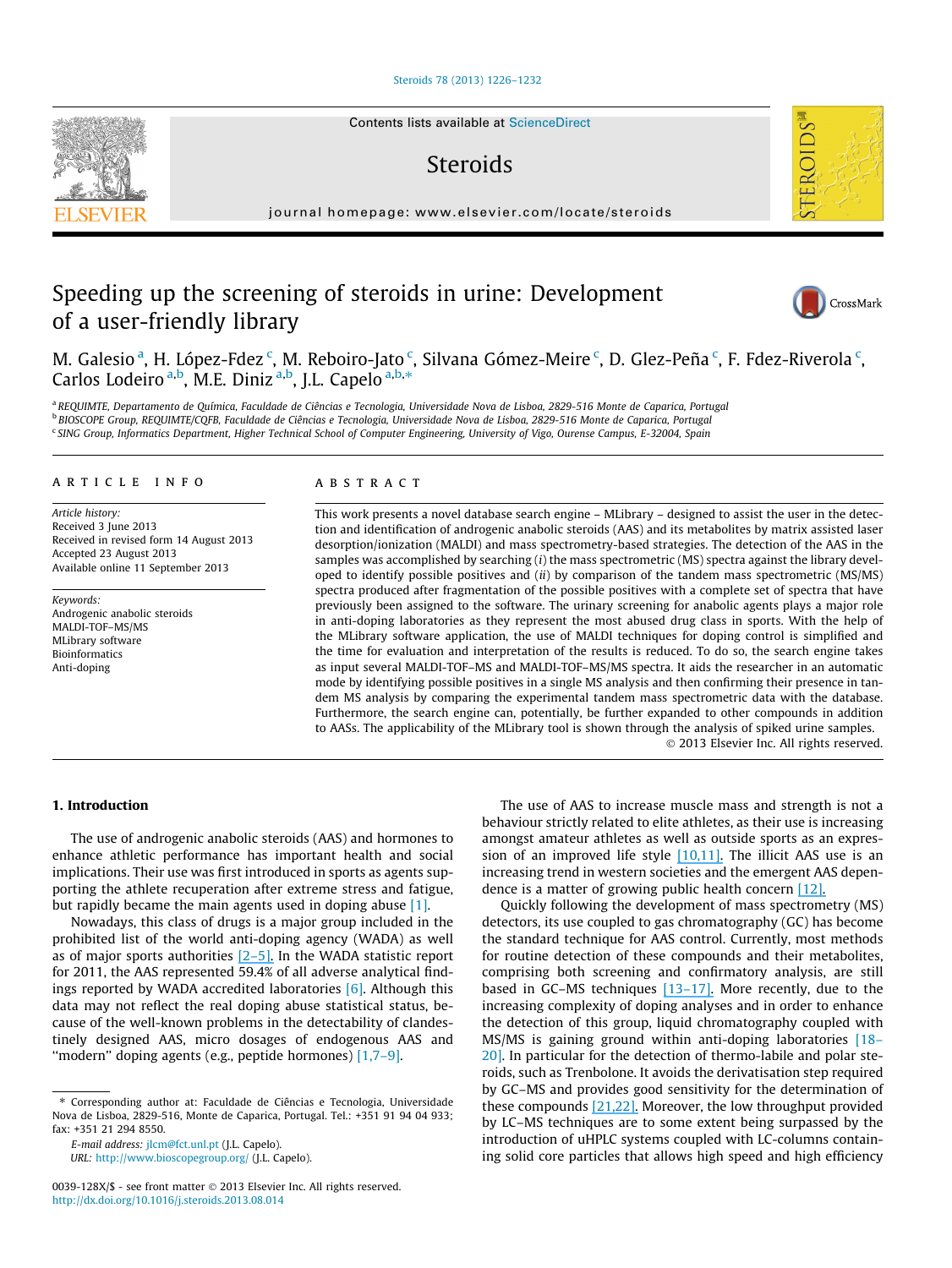#### [Steroids 78 \(2013\) 1226–1232](http://dx.doi.org/10.1016/j.steroids.2013.08.014)

Contents lists available at [ScienceDirect](http://www.sciencedirect.com/science/journal/0039128X)

# **Steroids**

journal homepage: [www.elsevier.com/locate/steroids](http://www.elsevier.com/locate/steroids)

# Speeding up the screening of steroids in urine: Development of a user-friendly library

M. Galesio <sup>a</sup>, H. López-Fdez <sup>c</sup>, M. Reboiro-Jato <sup>c</sup>, Silvana Gómez-Meire <sup>c</sup>, D. Glez-Peña <sup>c</sup>, F. Fdez-Riverola <sup>c</sup>, Carlos Lodeiro <sup>a,b</sup>, M.E. Diniz <sup>a,b</sup>, J.L. Capelo <sup>a,b,</sup>\*

a REQUIMTE, Departamento de Química, Faculdade de Ciências e Tecnologia, Universidade Nova de Lisboa, 2829-516 Monte de Caparica, Portugal <sup>b</sup> BIOSCOPE Group, REQUIMTE/CQFB, Faculdade de Ciências e Tecnologia, Universidade Nova de Lisboa, 2829-516 Monte de Caparica, Portugal <sup>c</sup> SING Group, Informatics Department, Higher Technical School of Computer Engineering, University of Vigo, Ourense Campus, E-32004, Spain

#### article info

Article history: Received 3 June 2013 Received in revised form 14 August 2013 Accepted 23 August 2013 Available online 11 September 2013

Keywords: Androgenic anabolic steroids MALDI-TOF–MS/MS MLibrary software Bioinformatics Anti-doping

# **ABSTRACT**

This work presents a novel database search engine – MLibrary – designed to assist the user in the detection and identification of androgenic anabolic steroids (AAS) and its metabolites by matrix assisted laser desorption/ionization (MALDI) and mass spectrometry-based strategies. The detection of the AAS in the samples was accomplished by searching  $(i)$  the mass spectrometric (MS) spectra against the library developed to identify possible positives and (ii) by comparison of the tandem mass spectrometric (MS/MS) spectra produced after fragmentation of the possible positives with a complete set of spectra that have previously been assigned to the software. The urinary screening for anabolic agents plays a major role in anti-doping laboratories as they represent the most abused drug class in sports. With the help of the MLibrary software application, the use of MALDI techniques for doping control is simplified and the time for evaluation and interpretation of the results is reduced. To do so, the search engine takes as input several MALDI-TOF–MS and MALDI-TOF–MS/MS spectra. It aids the researcher in an automatic mode by identifying possible positives in a single MS analysis and then confirming their presence in tandem MS analysis by comparing the experimental tandem mass spectrometric data with the database. Furthermore, the search engine can, potentially, be further expanded to other compounds in addition to AASs. The applicability of the MLibrary tool is shown through the analysis of spiked urine samples. - 2013 Elsevier Inc. All rights reserved.

## 1. Introduction

The use of androgenic anabolic steroids (AAS) and hormones to enhance athletic performance has important health and social implications. Their use was first introduced in sports as agents supporting the athlete recuperation after extreme stress and fatigue, but rapidly became the main agents used in doping abuse [1].

Nowadays, this class of drugs is a major group included in the prohibited list of the world anti-doping agency (WADA) as well as of major sports authorities  $[2-5]$ . In the WADA statistic report for 2011, the AAS represented 59.4% of all adverse analytical findings reported by WADA accredited laboratories  $[6]$ . Although this data may not reflect the real doping abuse statistical status, because of the well-known problems in the detectability of clandestinely designed AAS, micro dosages of endogenous AAS and ''modern'' doping agents (e.g., peptide hormones) [1,7–9].

URL: <http://www.bioscopegroup.org/> (J.L. Capelo).

The use of AAS to increase muscle mass and strength is not a behaviour strictly related to elite athletes, as their use is increasing amongst amateur athletes as well as outside sports as an expression of an improved life style  $[10,11]$ . The illicit AAS use is an increasing trend in western societies and the emergent AAS depen-dence is a matter of growing public health concern [\[12\].](https://www.researchgate.net/publication/38098322_Anabolic-androgenic_steroid_dependence_An_emerging_disorder?el=1_x_8&enrichId=rgreq-a89bea1f-5bf5-4894-b762-775387b872d7&enrichSource=Y292ZXJQYWdlOzI1NjYxMTAyMztBUzoxMjQzOTUwODc0NzA1OTJAMTQwNjY2OTUwODU1MA==)

Quickly following the development of mass spectrometry (MS) detectors, its use coupled to gas chromatography (GC) has become the standard technique for AAS control. Currently, most methods for routine detection of these compounds and their metabolites, comprising both screening and confirmatory analysis, are still based in GC–MS techniques  $[13-17]$ . More recently, due to the increasing complexity of doping analyses and in order to enhance the detection of this group, liquid chromatography coupled with MS/MS is gaining ground within anti-doping laboratories [18– 20]. In particular for the detection of thermo-labile and polar steroids, such as Trenbolone. It avoids the derivatisation step required by GC–MS and provides good sensitivity for the determination of these compounds [\[21,22\].](https://www.researchgate.net/publication/7149879_Comprehensive_screening_of_anabolic_steroids_corticosteroids_and_acidic_drugs_in_horse_urine_by_solid-phase_extraction_and_liquid_chromatography-mass_spectrometry?el=1_x_8&enrichId=rgreq-a89bea1f-5bf5-4894-b762-775387b872d7&enrichSource=Y292ZXJQYWdlOzI1NjYxMTAyMztBUzoxMjQzOTUwODc0NzA1OTJAMTQwNjY2OTUwODU1MA==) Moreover, the low throughput provided by LC–MS techniques are to some extent being surpassed by the introduction of uHPLC systems coupled with LC-columns containing solid core particles that allows high speed and high efficiency





CrossMark

<sup>⇑</sup> Corresponding author at: Faculdade de Ciências e Tecnologia, Universidade Nova de Lisboa, 2829-516, Monte de Caparica, Portugal. Tel.: +351 91 94 04 933; fax: +351 21 294 8550.

E-mail address: [jlcm@fct.unl.pt](mailto:jlcm@fct.unl.pt) (J.L. Capelo).

<sup>0039-128</sup>X/\$ - see front matter © 2013 Elsevier Inc. All rights reserved. <http://dx.doi.org/10.1016/j.steroids.2013.08.014>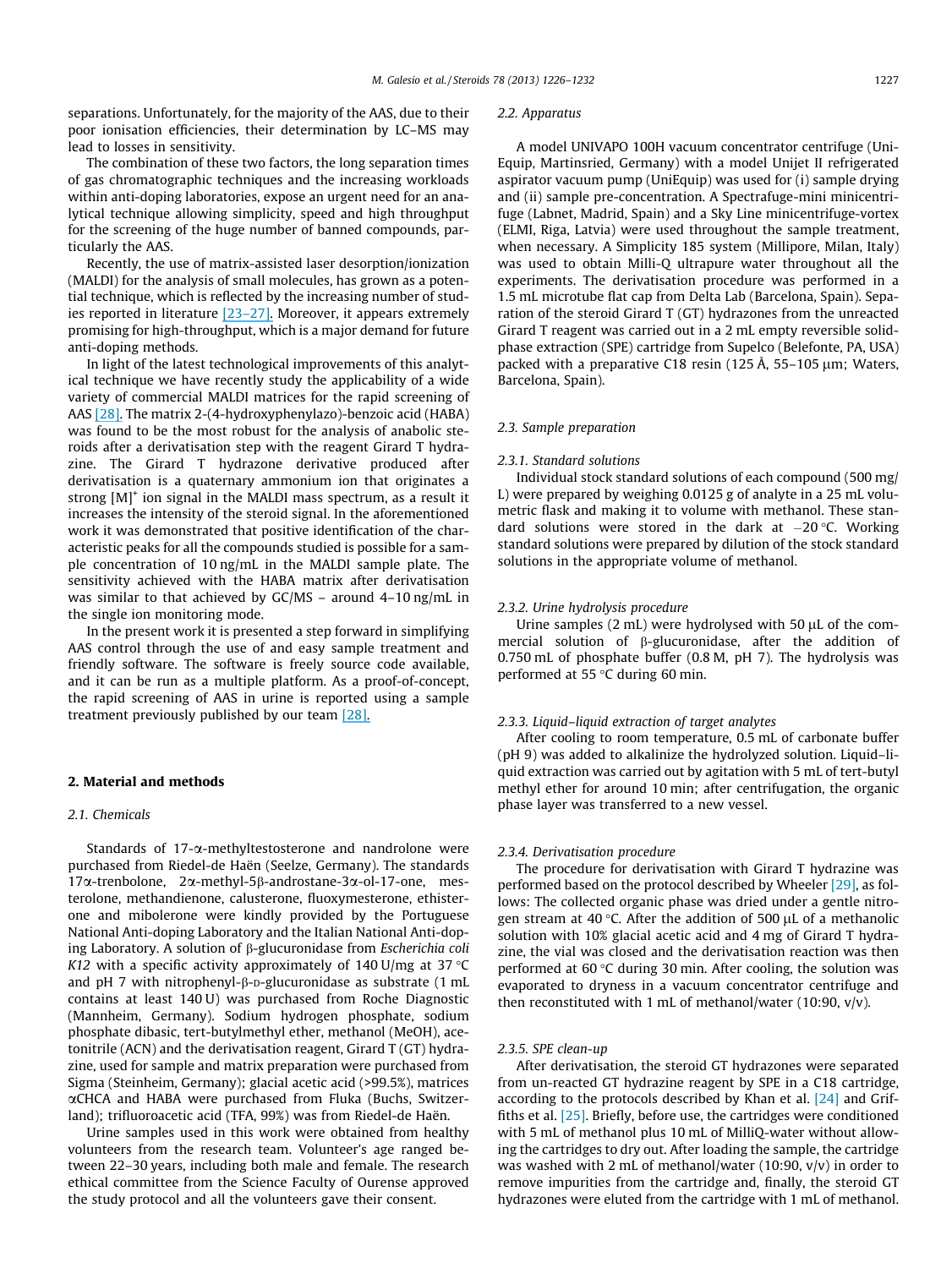separations. Unfortunately, for the majority of the AAS, due to their poor ionisation efficiencies, their determination by LC–MS may lead to losses in sensitivity.

The combination of these two factors, the long separation times of gas chromatographic techniques and the increasing workloads within anti-doping laboratories, expose an urgent need for an analytical technique allowing simplicity, speed and high throughput for the screening of the huge number of banned compounds, particularly the AAS.

Recently, the use of matrix-assisted laser desorption/ionization (MALDI) for the analysis of small molecules, has grown as a potential technique, which is reflected by the increasing number of studies reported in literature [\[23–27\].](https://www.researchgate.net/publication/10784650_Derivatisation_for_the_characterisation_of_neutral_steroids_by_electrospray_and_MALDI_tandem_mass_spectrometry_The_Girard_P_derivative?el=1_x_8&enrichId=rgreq-a89bea1f-5bf5-4894-b762-775387b872d7&enrichSource=Y292ZXJQYWdlOzI1NjYxMTAyMztBUzoxMjQzOTUwODc0NzA1OTJAMTQwNjY2OTUwODU1MA==) Moreover, it appears extremely promising for high-throughput, which is a major demand for future anti-doping methods.

In light of the latest technological improvements of this analytical technique we have recently study the applicability of a wide variety of commercial MALDI matrices for the rapid screening of AAS [\[28\].](https://www.researchgate.net/publication/24429845_Comparative_study_of_matrices_for_their_use_in_the_rapid_screening_of_anabolic_steroids_by_matrix-assisted_laser_desorptionionisation_time-of-flight_mass_spectrometry?el=1_x_8&enrichId=rgreq-a89bea1f-5bf5-4894-b762-775387b872d7&enrichSource=Y292ZXJQYWdlOzI1NjYxMTAyMztBUzoxMjQzOTUwODc0NzA1OTJAMTQwNjY2OTUwODU1MA==) The matrix 2-(4-hydroxyphenylazo)-benzoic acid (HABA) was found to be the most robust for the analysis of anabolic steroids after a derivatisation step with the reagent Girard T hydrazine. The Girard T hydrazone derivative produced after derivatisation is a quaternary ammonium ion that originates a strong [M]+ ion signal in the MALDI mass spectrum, as a result it increases the intensity of the steroid signal. In the aforementioned work it was demonstrated that positive identification of the characteristic peaks for all the compounds studied is possible for a sample concentration of 10 ng/mL in the MALDI sample plate. The sensitivity achieved with the HABA matrix after derivatisation was similar to that achieved by GC/MS – around 4–10 ng/mL in the single ion monitoring mode.

In the present work it is presented a step forward in simplifying AAS control through the use of and easy sample treatment and friendly software. The software is freely source code available, and it can be run as a multiple platform. As a proof-of-concept, the rapid screening of AAS in urine is reported using a sample treatment previously published by our team [\[28\].](https://www.researchgate.net/publication/24429845_Comparative_study_of_matrices_for_their_use_in_the_rapid_screening_of_anabolic_steroids_by_matrix-assisted_laser_desorptionionisation_time-of-flight_mass_spectrometry?el=1_x_8&enrichId=rgreq-a89bea1f-5bf5-4894-b762-775387b872d7&enrichSource=Y292ZXJQYWdlOzI1NjYxMTAyMztBUzoxMjQzOTUwODc0NzA1OTJAMTQwNjY2OTUwODU1MA==)

# 2. Material and methods

# 2.1. Chemicals

Standards of 17-a-methyltestosterone and nandrolone were purchased from Riedel-de Haën (Seelze, Germany). The standards 17α-trenbolone, 2α-methyl-5β-androstane-3α-ol-17-one, mesterolone, methandienone, calusterone, fluoxymesterone, ethisterone and mibolerone were kindly provided by the Portuguese National Anti-doping Laboratory and the Italian National Anti-doping Laboratory. A solution of  $\beta$ -glucuronidase from Escherichia coli K12 with a specific activity approximately of 140 U/mg at 37  $\degree$ C and pH 7 with nitrophenyl- $\beta$ -D-glucuronidase as substrate (1 mL contains at least 140 U) was purchased from Roche Diagnostic (Mannheim, Germany). Sodium hydrogen phosphate, sodium phosphate dibasic, tert-butylmethyl ether, methanol (MeOH), acetonitrile (ACN) and the derivatisation reagent, Girard T (GT) hydrazine, used for sample and matrix preparation were purchased from Sigma (Steinheim, Germany); glacial acetic acid (>99.5%), matrices aCHCA and HABA were purchased from Fluka (Buchs, Switzerland); trifluoroacetic acid (TFA, 99%) was from Riedel-de Haën.

Urine samples used in this work were obtained from healthy volunteers from the research team. Volunteer's age ranged between 22–30 years, including both male and female. The research ethical committee from the Science Faculty of Ourense approved the study protocol and all the volunteers gave their consent.

#### 2.2. Apparatus

A model UNIVAPO 100H vacuum concentrator centrifuge (Uni-Equip, Martinsried, Germany) with a model Unijet II refrigerated aspirator vacuum pump (UniEquip) was used for (i) sample drying and (ii) sample pre-concentration. A Spectrafuge-mini minicentrifuge (Labnet, Madrid, Spain) and a Sky Line minicentrifuge-vortex (ELMI, Riga, Latvia) were used throughout the sample treatment, when necessary. A Simplicity 185 system (Millipore, Milan, Italy) was used to obtain Milli-Q ultrapure water throughout all the experiments. The derivatisation procedure was performed in a 1.5 mL microtube flat cap from Delta Lab (Barcelona, Spain). Separation of the steroid Girard T (GT) hydrazones from the unreacted Girard T reagent was carried out in a 2 mL empty reversible solidphase extraction (SPE) cartridge from Supelco (Belefonte, PA, USA) packed with a preparative C18 resin (125 Å, 55–105  $\mu$ m; Waters, Barcelona, Spain).

#### 2.3. Sample preparation

#### 2.3.1. Standard solutions

Individual stock standard solutions of each compound (500 mg/ L) were prepared by weighing 0.0125 g of analyte in a 25 mL volumetric flask and making it to volume with methanol. These standard solutions were stored in the dark at  $-20$  °C. Working standard solutions were prepared by dilution of the stock standard solutions in the appropriate volume of methanol.

#### 2.3.2. Urine hydrolysis procedure

Urine samples  $(2 \text{ mL})$  were hydrolysed with 50  $\mu$ L of the commercial solution of b-glucuronidase, after the addition of 0.750 mL of phosphate buffer (0.8 M, pH 7). The hydrolysis was performed at 55 $\degree$ C during 60 min.

## 2.3.3. Liquid–liquid extraction of target analytes

After cooling to room temperature, 0.5 mL of carbonate buffer (pH 9) was added to alkalinize the hydrolyzed solution. Liquid–liquid extraction was carried out by agitation with 5 mL of tert-butyl methyl ether for around 10 min; after centrifugation, the organic phase layer was transferred to a new vessel.

# 2.3.4. Derivatisation procedure

The procedure for derivatisation with Girard T hydrazine was performed based on the protocol described by Wheeler [29], as follows: The collected organic phase was dried under a gentle nitrogen stream at 40 °C. After the addition of 500  $\mu$ L of a methanolic solution with 10% glacial acetic acid and 4 mg of Girard T hydrazine, the vial was closed and the derivatisation reaction was then performed at  $60^{\circ}$ C during 30 min. After cooling, the solution was evaporated to dryness in a vacuum concentrator centrifuge and then reconstituted with 1 mL of methanol/water (10:90,  $v/v$ ).

#### 2.3.5. SPE clean-up

After derivatisation, the steroid GT hydrazones were separated from un-reacted GT hydrazine reagent by SPE in a C18 cartridge, according to the protocols described by Khan et al. [24] and Griffiths et al. [25]. Briefly, before use, the cartridges were conditioned with 5 mL of methanol plus 10 mL of MilliQ-water without allowing the cartridges to dry out. After loading the sample, the cartridge was washed with 2 mL of methanol/water (10:90, v/v) in order to remove impurities from the cartridge and, finally, the steroid GT hydrazones were eluted from the cartridge with 1 mL of methanol.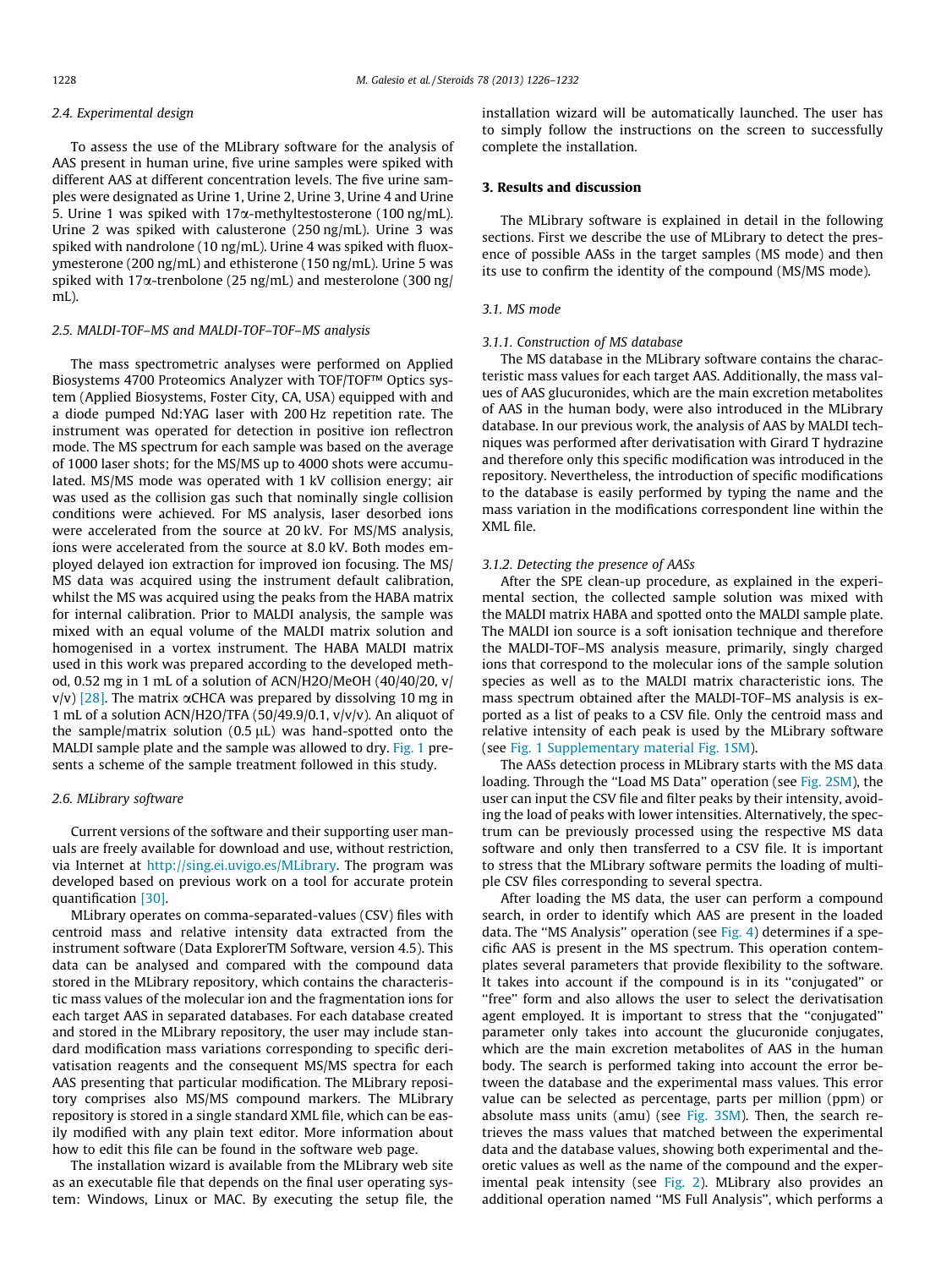#### 2.4. Experimental design

To assess the use of the MLibrary software for the analysis of AAS present in human urine, five urine samples were spiked with different AAS at different concentration levels. The five urine samples were designated as Urine 1, Urine 2, Urine 3, Urine 4 and Urine 5. Urine 1 was spiked with  $17\alpha$ -methyltestosterone (100 ng/mL). Urine 2 was spiked with calusterone (250 ng/mL). Urine 3 was spiked with nandrolone (10 ng/mL). Urine 4 was spiked with fluoxymesterone (200 ng/mL) and ethisterone (150 ng/mL). Urine 5 was spiked with 17 $\alpha$ -trenbolone (25 ng/mL) and mesterolone (300 ng/ mL).

# 2.5. MALDI-TOF–MS and MALDI-TOF–TOF–MS analysis

The mass spectrometric analyses were performed on Applied Biosystems 4700 Proteomics Analyzer with TOF/TOF™ Optics system (Applied Biosystems, Foster City, CA, USA) equipped with and a diode pumped Nd:YAG laser with 200 Hz repetition rate. The instrument was operated for detection in positive ion reflectron mode. The MS spectrum for each sample was based on the average of 1000 laser shots; for the MS/MS up to 4000 shots were accumulated. MS/MS mode was operated with 1 kV collision energy; air was used as the collision gas such that nominally single collision conditions were achieved. For MS analysis, laser desorbed ions were accelerated from the source at 20 kV. For MS/MS analysis, ions were accelerated from the source at 8.0 kV. Both modes employed delayed ion extraction for improved ion focusing. The MS/ MS data was acquired using the instrument default calibration, whilst the MS was acquired using the peaks from the HABA matrix for internal calibration. Prior to MALDI analysis, the sample was mixed with an equal volume of the MALDI matrix solution and homogenised in a vortex instrument. The HABA MALDI matrix used in this work was prepared according to the developed method, 0.52 mg in 1 mL of a solution of ACN/H2O/MeOH (40/40/20, v/  $v/v$ ) [28]. The matrix  $\alpha$ CHCA was prepared by dissolving 10 mg in 1 mL of a solution ACN/H2O/TFA (50/49.9/0.1,  $v/v/v$ ). An aliquot of the sample/matrix solution  $(0.5 \mu L)$  was hand-spotted onto the MALDI sample plate and the sample was allowed to dry. Fig. 1 presents a scheme of the sample treatment followed in this study.

## 2.6. MLibrary software

Current versions of the software and their supporting user manuals are freely available for download and use, without restriction, via Internet at [http://sing.ei.uvigo.es/MLibrary.](http://www.sing.ei.uvigo.es/MLibrary) The program was developed based on previous work on a tool for accurate protein quantification [30].

MLibrary operates on comma-separated-values (CSV) files with centroid mass and relative intensity data extracted from the instrument software (Data ExplorerTM Software, version 4.5). This data can be analysed and compared with the compound data stored in the MLibrary repository, which contains the characteristic mass values of the molecular ion and the fragmentation ions for each target AAS in separated databases. For each database created and stored in the MLibrary repository, the user may include standard modification mass variations corresponding to specific derivatisation reagents and the consequent MS/MS spectra for each AAS presenting that particular modification. The MLibrary repository comprises also MS/MS compound markers. The MLibrary repository is stored in a single standard XML file, which can be easily modified with any plain text editor. More information about how to edit this file can be found in the software web page.

The installation wizard is available from the MLibrary web site as an executable file that depends on the final user operating system: Windows, Linux or MAC. By executing the setup file, the installation wizard will be automatically launched. The user has to simply follow the instructions on the screen to successfully complete the installation.

# 3. Results and discussion

The MLibrary software is explained in detail in the following sections. First we describe the use of MLibrary to detect the presence of possible AASs in the target samples (MS mode) and then its use to confirm the identity of the compound (MS/MS mode).

## 3.1. MS mode

#### 3.1.1. Construction of MS database

The MS database in the MLibrary software contains the characteristic mass values for each target AAS. Additionally, the mass values of AAS glucuronides, which are the main excretion metabolites of AAS in the human body, were also introduced in the MLibrary database. In our previous work, the analysis of AAS by MALDI techniques was performed after derivatisation with Girard T hydrazine and therefore only this specific modification was introduced in the repository. Nevertheless, the introduction of specific modifications to the database is easily performed by typing the name and the mass variation in the modifications correspondent line within the XML file.

#### 3.1.2. Detecting the presence of AASs

After the SPE clean-up procedure, as explained in the experimental section, the collected sample solution was mixed with the MALDI matrix HABA and spotted onto the MALDI sample plate. The MALDI ion source is a soft ionisation technique and therefore the MALDI-TOF–MS analysis measure, primarily, singly charged ions that correspond to the molecular ions of the sample solution species as well as to the MALDI matrix characteristic ions. The mass spectrum obtained after the MALDI-TOF–MS analysis is exported as a list of peaks to a CSV file. Only the centroid mass and relative intensity of each peak is used by the MLibrary software (see Fig. 1 Supplementary material Fig. 1SM).

The AASs detection process in MLibrary starts with the MS data loading. Through the ''Load MS Data'' operation (see Fig. 2SM), the user can input the CSV file and filter peaks by their intensity, avoiding the load of peaks with lower intensities. Alternatively, the spectrum can be previously processed using the respective MS data software and only then transferred to a CSV file. It is important to stress that the MLibrary software permits the loading of multiple CSV files corresponding to several spectra.

After loading the MS data, the user can perform a compound search, in order to identify which AAS are present in the loaded data. The "MS Analysis" operation (see Fig. 4) determines if a specific AAS is present in the MS spectrum. This operation contemplates several parameters that provide flexibility to the software. It takes into account if the compound is in its ''conjugated'' or "free" form and also allows the user to select the derivatisation agent employed. It is important to stress that the ''conjugated'' parameter only takes into account the glucuronide conjugates, which are the main excretion metabolites of AAS in the human body. The search is performed taking into account the error between the database and the experimental mass values. This error value can be selected as percentage, parts per million (ppm) or absolute mass units (amu) (see Fig. 3SM). Then, the search retrieves the mass values that matched between the experimental data and the database values, showing both experimental and theoretic values as well as the name of the compound and the experimental peak intensity (see Fig. 2). MLibrary also provides an additional operation named ''MS Full Analysis'', which performs a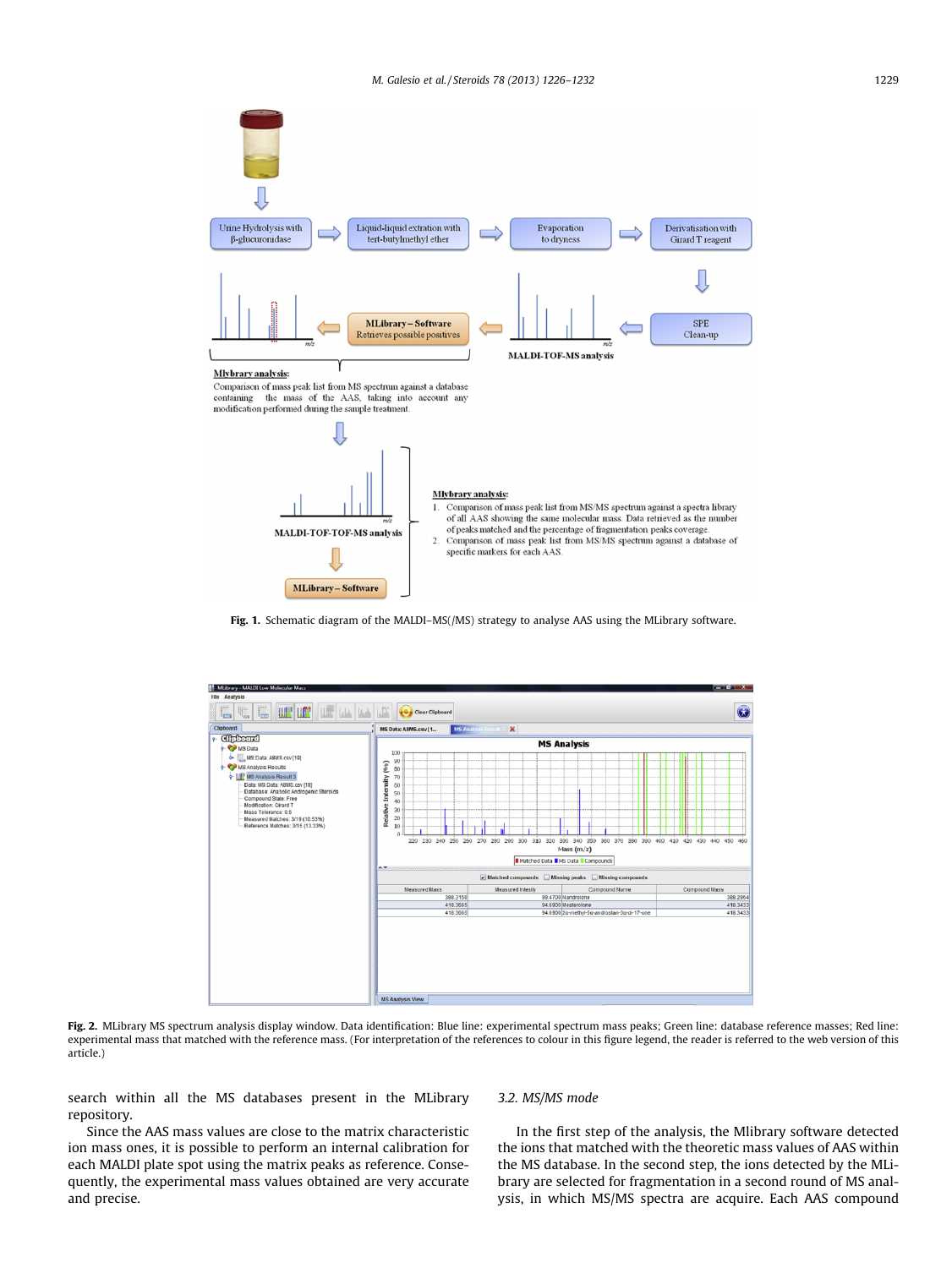







MALDI-TOF-TOF-MS analysis

**MLibrary-Software** 



Fig. 2. MLibrary MS spectrum analysis display window. Data identification: Blue line: experimental spectrum mass peaks; Green line: database reference masses; Red line: experimental mass that matched with the reference mass. (For interpretation of the references to colour in this figure legend, the reader is referred to the web version of this article.)

search within all the MS databases present in the MLibrary repository.

# Since the AAS mass values are close to the matrix characteristic ion mass ones, it is possible to perform an internal calibration for each MALDI plate spot using the matrix peaks as reference. Consequently, the experimental mass values obtained are very accurate and precise.

### 3.2. MS/MS mode

In the first step of the analysis, the Mlibrary software detected the ions that matched with the theoretic mass values of AAS within the MS database. In the second step, the ions detected by the MLibrary are selected for fragmentation in a second round of MS analysis, in which MS/MS spectra are acquire. Each AAS compound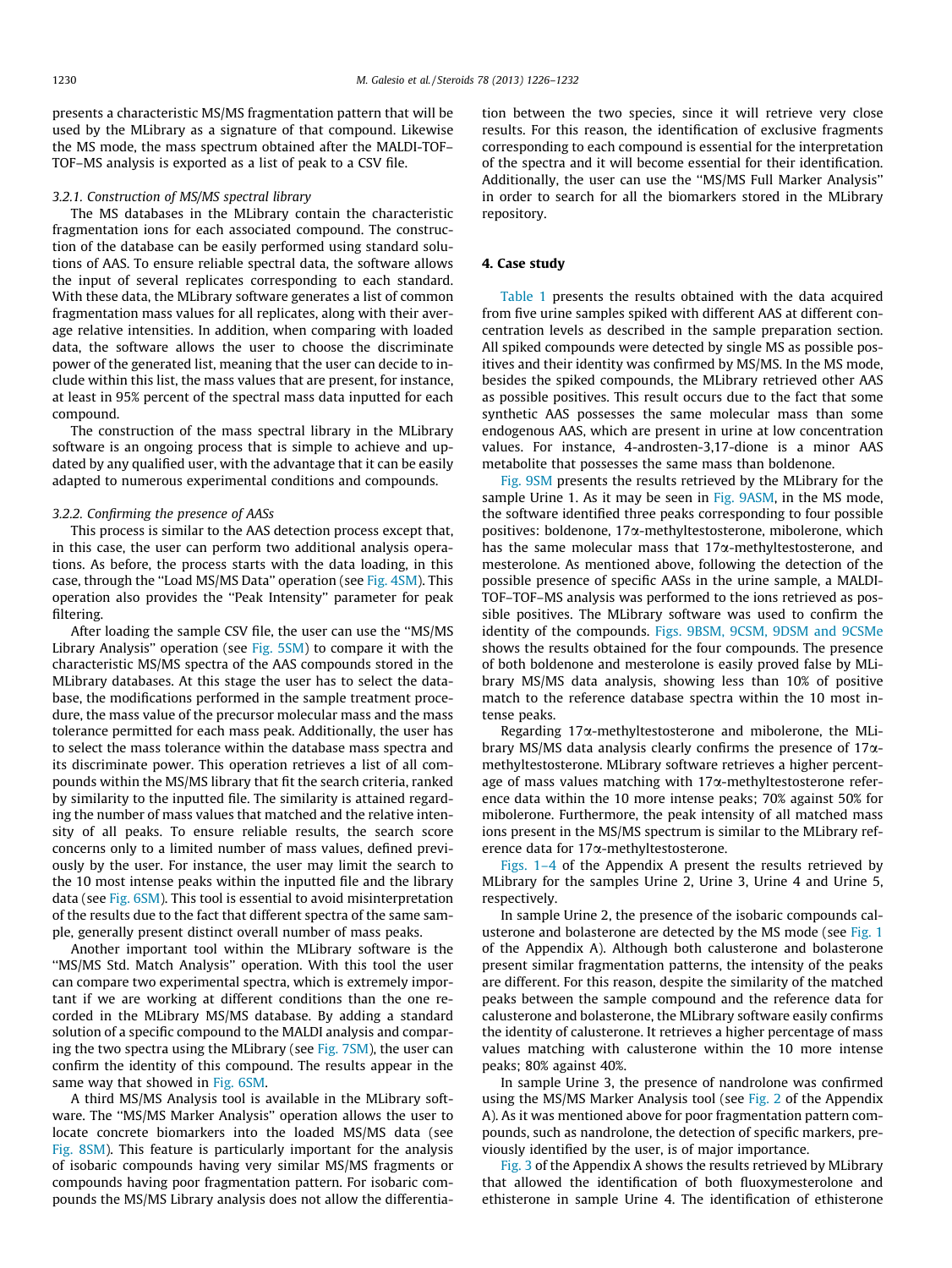presents a characteristic MS/MS fragmentation pattern that will be used by the MLibrary as a signature of that compound. Likewise the MS mode, the mass spectrum obtained after the MALDI-TOF– TOF–MS analysis is exported as a list of peak to a CSV file.

### 3.2.1. Construction of MS/MS spectral library

The MS databases in the MLibrary contain the characteristic fragmentation ions for each associated compound. The construction of the database can be easily performed using standard solutions of AAS. To ensure reliable spectral data, the software allows the input of several replicates corresponding to each standard. With these data, the MLibrary software generates a list of common fragmentation mass values for all replicates, along with their average relative intensities. In addition, when comparing with loaded data, the software allows the user to choose the discriminate power of the generated list, meaning that the user can decide to include within this list, the mass values that are present, for instance, at least in 95% percent of the spectral mass data inputted for each compound.

The construction of the mass spectral library in the MLibrary software is an ongoing process that is simple to achieve and updated by any qualified user, with the advantage that it can be easily adapted to numerous experimental conditions and compounds.

#### 3.2.2. Confirming the presence of AASs

This process is similar to the AAS detection process except that, in this case, the user can perform two additional analysis operations. As before, the process starts with the data loading, in this case, through the ''Load MS/MS Data'' operation (see Fig. 4SM). This operation also provides the ''Peak Intensity'' parameter for peak filtering.

After loading the sample CSV file, the user can use the ''MS/MS Library Analysis'' operation (see Fig. 5SM) to compare it with the characteristic MS/MS spectra of the AAS compounds stored in the MLibrary databases. At this stage the user has to select the database, the modifications performed in the sample treatment procedure, the mass value of the precursor molecular mass and the mass tolerance permitted for each mass peak. Additionally, the user has to select the mass tolerance within the database mass spectra and its discriminate power. This operation retrieves a list of all compounds within the MS/MS library that fit the search criteria, ranked by similarity to the inputted file. The similarity is attained regarding the number of mass values that matched and the relative intensity of all peaks. To ensure reliable results, the search score concerns only to a limited number of mass values, defined previously by the user. For instance, the user may limit the search to the 10 most intense peaks within the inputted file and the library data (see Fig. 6SM). This tool is essential to avoid misinterpretation of the results due to the fact that different spectra of the same sample, generally present distinct overall number of mass peaks.

Another important tool within the MLibrary software is the ''MS/MS Std. Match Analysis'' operation. With this tool the user can compare two experimental spectra, which is extremely important if we are working at different conditions than the one recorded in the MLibrary MS/MS database. By adding a standard solution of a specific compound to the MALDI analysis and comparing the two spectra using the MLibrary (see Fig. 7SM), the user can confirm the identity of this compound. The results appear in the same way that showed in Fig. 6SM.

A third MS/MS Analysis tool is available in the MLibrary software. The ''MS/MS Marker Analysis'' operation allows the user to locate concrete biomarkers into the loaded MS/MS data (see Fig. 8SM). This feature is particularly important for the analysis of isobaric compounds having very similar MS/MS fragments or compounds having poor fragmentation pattern. For isobaric compounds the MS/MS Library analysis does not allow the differentiation between the two species, since it will retrieve very close results. For this reason, the identification of exclusive fragments corresponding to each compound is essential for the interpretation of the spectra and it will become essential for their identification. Additionally, the user can use the ''MS/MS Full Marker Analysis'' in order to search for all the biomarkers stored in the MLibrary repository.

## 4. Case study

Table 1 presents the results obtained with the data acquired from five urine samples spiked with different AAS at different concentration levels as described in the sample preparation section. All spiked compounds were detected by single MS as possible positives and their identity was confirmed by MS/MS. In the MS mode, besides the spiked compounds, the MLibrary retrieved other AAS as possible positives. This result occurs due to the fact that some synthetic AAS possesses the same molecular mass than some endogenous AAS, which are present in urine at low concentration values. For instance, 4-androsten-3,17-dione is a minor AAS metabolite that possesses the same mass than boldenone.

Fig. 9SM presents the results retrieved by the MLibrary for the sample Urine 1. As it may be seen in Fig. 9ASM, in the MS mode, the software identified three peaks corresponding to four possible positives: boldenone, 17a-methyltestosterone, mibolerone, which has the same molecular mass that  $17\alpha$ -methyltestosterone, and mesterolone. As mentioned above, following the detection of the possible presence of specific AASs in the urine sample, a MALDI-TOF–TOF–MS analysis was performed to the ions retrieved as possible positives. The MLibrary software was used to confirm the identity of the compounds. Figs. 9BSM, 9CSM, 9DSM and 9CSMe shows the results obtained for the four compounds. The presence of both boldenone and mesterolone is easily proved false by MLibrary MS/MS data analysis, showing less than 10% of positive match to the reference database spectra within the 10 most intense peaks.

Regarding 17a-methyltestosterone and mibolerone, the MLibrary MS/MS data analysis clearly confirms the presence of  $17\alpha$ methyltestosterone. MLibrary software retrieves a higher percentage of mass values matching with 17a-methyltestosterone reference data within the 10 more intense peaks; 70% against 50% for mibolerone. Furthermore, the peak intensity of all matched mass ions present in the MS/MS spectrum is similar to the MLibrary reference data for 17a-methyltestosterone.

Figs. 1–4 of the Appendix A present the results retrieved by MLibrary for the samples Urine 2, Urine 3, Urine 4 and Urine 5, respectively.

In sample Urine 2, the presence of the isobaric compounds calusterone and bolasterone are detected by the MS mode (see Fig. 1) of the Appendix A). Although both calusterone and bolasterone present similar fragmentation patterns, the intensity of the peaks are different. For this reason, despite the similarity of the matched peaks between the sample compound and the reference data for calusterone and bolasterone, the MLibrary software easily confirms the identity of calusterone. It retrieves a higher percentage of mass values matching with calusterone within the 10 more intense peaks; 80% against 40%.

In sample Urine 3, the presence of nandrolone was confirmed using the MS/MS Marker Analysis tool (see Fig. 2 of the Appendix A). As it was mentioned above for poor fragmentation pattern compounds, such as nandrolone, the detection of specific markers, previously identified by the user, is of major importance.

Fig. 3 of the Appendix A shows the results retrieved by MLibrary that allowed the identification of both fluoxymesterolone and ethisterone in sample Urine 4. The identification of ethisterone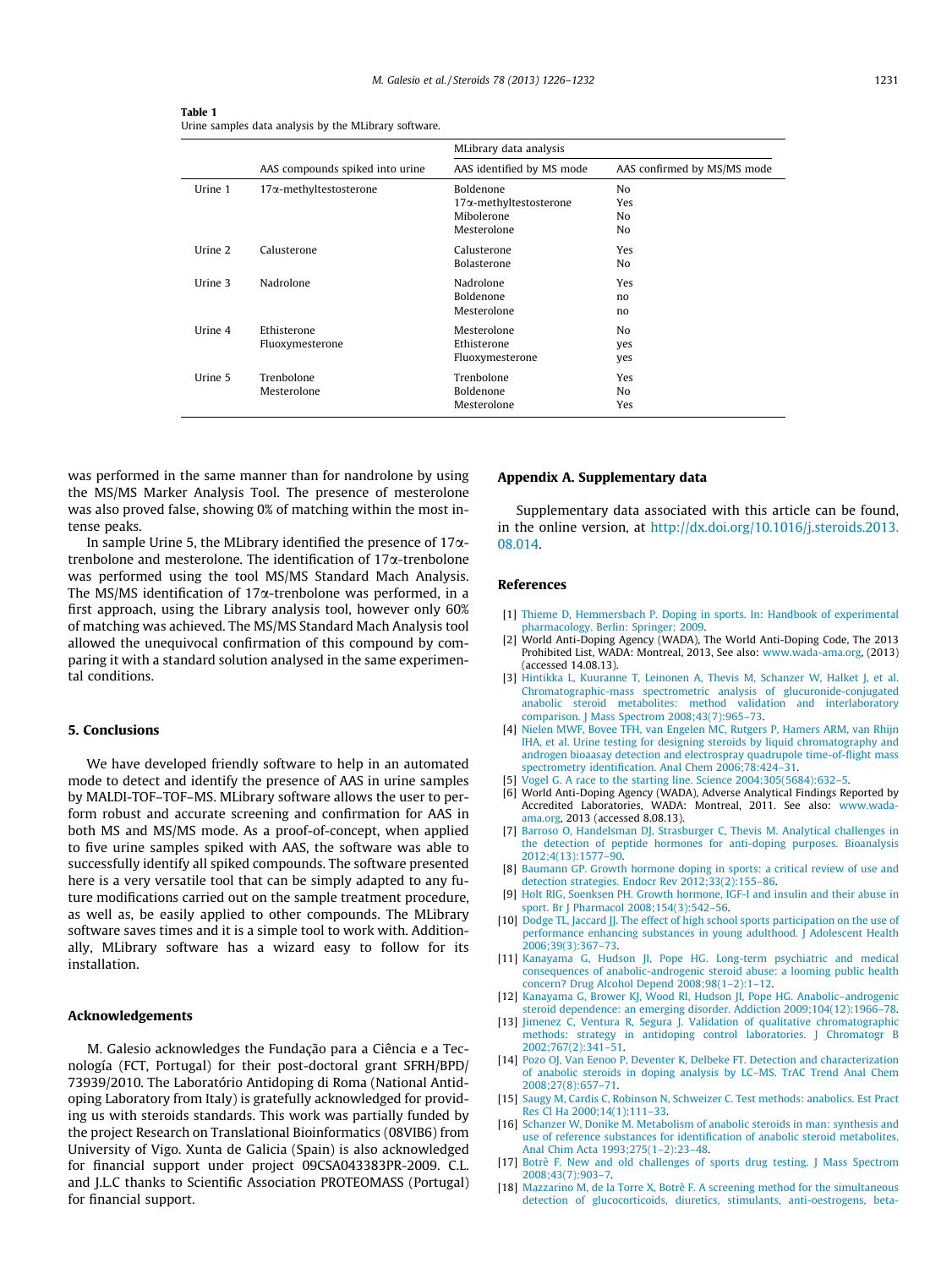| Table 1                                               |
|-------------------------------------------------------|
| Urine samples data analysis by the MLibrary software. |

|                    |                                 | MLibrary data analysis                                                  |                              |
|--------------------|---------------------------------|-------------------------------------------------------------------------|------------------------------|
|                    | AAS compounds spiked into urine | AAS identified by MS mode                                               | AAS confirmed by MS/MS mode  |
| Urine 1            | 17α-methyltestosterone          | <b>Boldenone</b><br>17α-methyltestosterone<br>Mibolerone<br>Mesterolone | No<br><b>Yes</b><br>No<br>No |
| Urine <sub>2</sub> | Calusterone                     | Calusterone<br>Bolasterone                                              | Yes<br>No                    |
| Urine 3            | Nadrolone                       | Nadrolone<br><b>Boldenone</b><br>Mesterolone                            | Yes<br>no<br>no              |
| Urine 4            | Ethisterone<br>Fluoxymesterone  | Mesterolone<br>Ethisterone<br>Fluoxymesterone                           | No<br>yes<br>yes             |
| Urine 5            | Trenbolone<br>Mesterolone       | Trenbolone<br><b>Boldenone</b><br>Mesterolone                           | <b>Yes</b><br>No<br>Yes      |

was performed in the same manner than for nandrolone by using the MS/MS Marker Analysis Tool. The presence of mesterolone was also proved false, showing 0% of matching within the most intense peaks.

In sample Urine 5, the MLibrary identified the presence of  $17\alpha$ trenbolone and mesterolone. The identification of 17a-trenbolone was performed using the tool MS/MS Standard Mach Analysis. The MS/MS identification of  $17\alpha$ -trenbolone was performed, in a first approach, using the Library analysis tool, however only 60% of matching was achieved. The MS/MS Standard Mach Analysis tool allowed the unequivocal confirmation of this compound by comparing it with a standard solution analysed in the same experimental conditions.

## 5. Conclusions

We have developed friendly software to help in an automated mode to detect and identify the presence of AAS in urine samples by MALDI-TOF–TOF–MS. MLibrary software allows the user to perform robust and accurate screening and confirmation for AAS in both MS and MS/MS mode. As a proof-of-concept, when applied to five urine samples spiked with AAS, the software was able to successfully identify all spiked compounds. The software presented here is a very versatile tool that can be simply adapted to any future modifications carried out on the sample treatment procedure, as well as, be easily applied to other compounds. The MLibrary software saves times and it is a simple tool to work with. Additionally, MLibrary software has a wizard easy to follow for its installation.

# Acknowledgements

M. Galesio acknowledges the Fundação para a Ciência e a Tecnología (FCT, Portugal) for their post-doctoral grant SFRH/BPD/ 73939/2010. The Laboratório Antidoping di Roma (National Antidoping Laboratory from Italy) is gratefully acknowledged for providing us with steroids standards. This work was partially funded by the project Research on Translational Bioinformatics (08VIB6) from University of Vigo. Xunta de Galicia (Spain) is also acknowledged for financial support under project 09CSA043383PR-2009. C.L. and J.L.C thanks to Scientific Association PROTEOMASS (Portugal) for financial support.

# Appendix A. Supplementary data

Supplementary data associated with this article can be found, in the online version, at [http://dx.doi.org/10.1016/j.steroids.2013.](http://dx.doi.org/10.1016/j.steroids.2013.08.014) [08.014](http://dx.doi.org/10.1016/j.steroids.2013.08.014).

# References

- [1] [Thieme D, Hemmersbach P. Doping in sports. In: Handbook of experimental](http://refhub.elsevier.com/S0039-128X(13)00196-7/h0005) [pharmacology. Berlin: Springer; 2009.](http://refhub.elsevier.com/S0039-128X(13)00196-7/h0005)
- [2] World Anti-Doping Agency (WADA), The World Anti-Doping Code, The 2013 Prohibited List, WADA: Montreal, 2013, See also: [www.wada-ama.org,](http://www.wada-ama.org) (2013) (accessed 14.08.13).
- [3] [Hintikka L, Kuuranne T, Leinonen A, Thevis M, Schanzer W, Halket J, et al.](http://refhub.elsevier.com/S0039-128X(13)00196-7/h0010) [Chromatographic-mass spectrometric analysis of glucuronide-conjugated](http://refhub.elsevier.com/S0039-128X(13)00196-7/h0010) [anabolic steroid metabolites: method validation and interlaboratory](http://refhub.elsevier.com/S0039-128X(13)00196-7/h0010) [comparison. J Mass Spectrom 2008;43\(7\):965–73](http://refhub.elsevier.com/S0039-128X(13)00196-7/h0010).
- [4] [Nielen MWF, Bovee TFH, van Engelen MC, Rutgers P, Hamers ARM, van Rhijn](http://refhub.elsevier.com/S0039-128X(13)00196-7/h0015) [IHA, et al. Urine testing for designing steroids by liquid chromatography and](http://refhub.elsevier.com/S0039-128X(13)00196-7/h0015) [androgen bioaasay detection and electrospray quadrupole time-of-flight mass](http://refhub.elsevier.com/S0039-128X(13)00196-7/h0015) [spectrometry identification. Anal Chem 2006;78:424–31.](http://refhub.elsevier.com/S0039-128X(13)00196-7/h0015)
- Vogel G. A race to the starting line. Science 2004;305(5684):632-5.
- [6] World Anti-Doping Agency (WADA), Adverse Analytical Findings Reported by Accredited Laboratories, WADA: Montreal, 2011. See also: [www.wada](http://www.wada-ama.org)[ama.org,](http://www.wada-ama.org) 2013 (accessed 8.08.13).
- [7] [Barroso O, Handelsman DJ, Strasburger C, Thevis M. Analytical challenges in](http://refhub.elsevier.com/S0039-128X(13)00196-7/h0025) [the detection of peptide hormones for anti-doping purposes. Bioanalysis](http://refhub.elsevier.com/S0039-128X(13)00196-7/h0025) [2012;4\(13\):1577–90](http://refhub.elsevier.com/S0039-128X(13)00196-7/h0025).
- [8] [Baumann GP. Growth hormone doping in sports: a critical review of use and](http://refhub.elsevier.com/S0039-128X(13)00196-7/h0030) [detection strategies. Endocr Rev 2012;33\(2\):155–86](http://refhub.elsevier.com/S0039-128X(13)00196-7/h0030).
- [9] [Holt RIG, Soenksen PH. Growth hormone, IGF-I and insulin and their abuse in](http://refhub.elsevier.com/S0039-128X(13)00196-7/h0035) [sport. Br J Pharmacol 2008;154\(3\):542–56.](http://refhub.elsevier.com/S0039-128X(13)00196-7/h0035)
- [10] [Dodge TL, Jaccard JJ. The effect of high school sports participation on the use of](http://refhub.elsevier.com/S0039-128X(13)00196-7/h0040) [performance enhancing substances in young adulthood. J Adolescent Health](http://refhub.elsevier.com/S0039-128X(13)00196-7/h0040) [2006;39\(3\):367–73](http://refhub.elsevier.com/S0039-128X(13)00196-7/h0040).
- [11] [Kanayama G, Hudson JI, Pope HG. Long-term psychiatric and medical](http://refhub.elsevier.com/S0039-128X(13)00196-7/h0045) [consequences of anabolic-androgenic steroid abuse: a looming public health](http://refhub.elsevier.com/S0039-128X(13)00196-7/h0045) [concern? Drug Alcohol Depend 2008;98\(1–2\):1–12.](http://refhub.elsevier.com/S0039-128X(13)00196-7/h0045)
- [12] [Kanayama G, Brower KJ, Wood RI, Hudson JI, Pope HG. Anabolic–androgenic](http://refhub.elsevier.com/S0039-128X(13)00196-7/h0050) [steroid dependence: an emerging disorder. Addiction 2009;104\(12\):1966–78.](http://refhub.elsevier.com/S0039-128X(13)00196-7/h0050)
- [13] [Jimenez C, Ventura R, Segura J. Validation of qualitative chromatographic](http://refhub.elsevier.com/S0039-128X(13)00196-7/h0055) [methods: strategy in antidoping control laboratories. J Chromatogr B](http://refhub.elsevier.com/S0039-128X(13)00196-7/h0055) [2002;767\(2\):341–51.](http://refhub.elsevier.com/S0039-128X(13)00196-7/h0055)
- [14] [Pozo OJ, Van Eenoo P, Deventer K, Delbeke FT. Detection and characterization](http://refhub.elsevier.com/S0039-128X(13)00196-7/h0060) [of anabolic steroids in doping analysis by LC–MS. TrAC Trend Anal Chem](http://refhub.elsevier.com/S0039-128X(13)00196-7/h0060) [2008;27\(8\):657–71](http://refhub.elsevier.com/S0039-128X(13)00196-7/h0060).
- [15] [Saugy M, Cardis C, Robinson N, Schweizer C. Test methods: anabolics. Est Pract](http://refhub.elsevier.com/S0039-128X(13)00196-7/h0065) [Res Cl Ha 2000;14\(1\):111–33.](http://refhub.elsevier.com/S0039-128X(13)00196-7/h0065)
- [16] [Schanzer W, Donike M. Metabolism of anabolic steroids in man: synthesis and](http://refhub.elsevier.com/S0039-128X(13)00196-7/h0070) [use of reference substances for identification of anabolic steroid metabolites.](http://refhub.elsevier.com/S0039-128X(13)00196-7/h0070) [Anal Chim Acta 1993;275\(1–2\):23–48](http://refhub.elsevier.com/S0039-128X(13)00196-7/h0070).
- [17] [Botrè F. New and old challenges of sports drug testing. J Mass Spectrom](http://refhub.elsevier.com/S0039-128X(13)00196-7/h0075) [2008;43\(7\):903–7](http://refhub.elsevier.com/S0039-128X(13)00196-7/h0075).
- [18] [Mazzarino M, de la Torre X, Botrè F. A screening method for the simultaneous](http://refhub.elsevier.com/S0039-128X(13)00196-7/h0080) [detection of glucocorticoids, diuretics, stimulants, anti-oestrogens, beta-](http://refhub.elsevier.com/S0039-128X(13)00196-7/h0080)